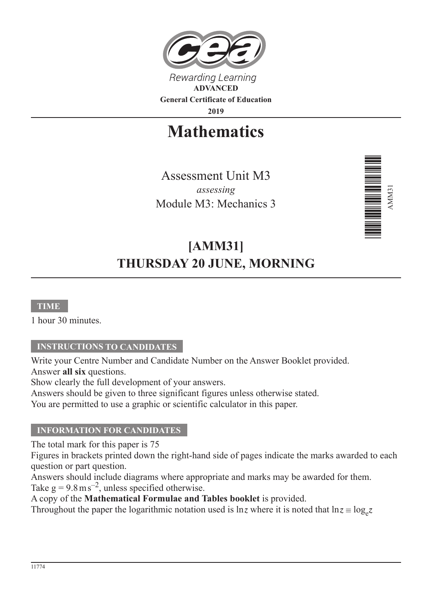

**Mathematics**

Assessment Unit M3 *assessing* Module M3: Mechanics 3



# **[AMM31] THURSDAY 20 JUNE, MORNING**

#### **TIME**

1 hour 30 minutes.

## **INSTRUCTIONS TO CANDIDATES**

Write your Centre Number and Candidate Number on the Answer Booklet provided. Answer **all six** questions.

Show clearly the full development of your answers.

Answers should be given to three significant figures unless otherwise stated.

You are permitted to use a graphic or scientific calculator in this paper.

## **INFORMATION FOR CANDIDATES**

The total mark for this paper is 75

Figures in brackets printed down the right-hand side of pages indicate the marks awarded to each question or part question.

Answers should include diagrams where appropriate and marks may be awarded for them. Take  $g = 9.8 \text{ m s}^{-2}$ , unless specified otherwise.

A copy of the **Mathematical Formulae and Tables booklet** is provided.

Throughout the paper the logarithmic notation used is lnz where it is noted that  $\ln z = \log_z z$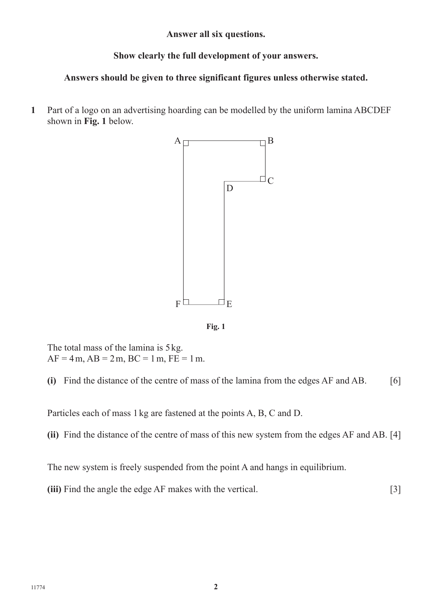**Answer all six questions.**

## **Show clearly the full development of your answers.**

#### **Answers should be given to three significant figures unless otherwise stated.**

**1** Part of a logo on an advertising hoarding can be modelled by the uniform lamina ABCDEF shown in **Fig. 1** below.



**Fig. 1**

The total mass of the lamina is 5kg.  $AF = 4m$ ,  $AB = 2m$ ,  $BC = 1m$ ,  $FE = 1m$ .



Particles each of mass 1 kg are fastened at the points A, B, C and D.

**(ii)** Find the distance of the centre of mass of this new system from the edges AF and AB. [4]

The new system is freely suspended from the point A and hangs in equilibrium.

**(iii)** Find the angle the edge AF makes with the vertical. [3]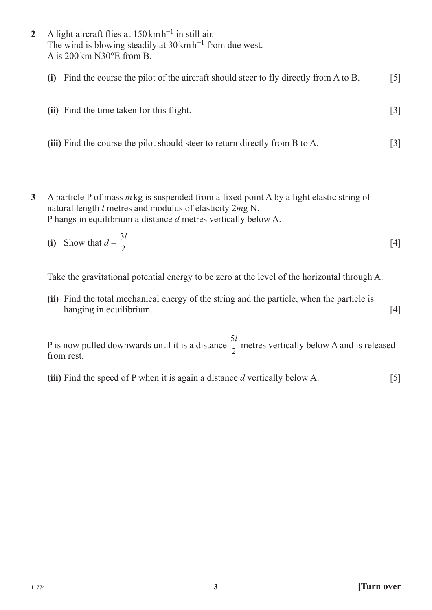- **2** A light aircraft flies at 150kmh−1 in still air. The wind is blowing steadily at  $30 \text{ km h}^{-1}$  from due west. A is 200 km N30°E from B.
	- **(i)** Find the course the pilot of the aircraft should steer to fly directly from A to B. [5] **(ii)** Find the time taken for this flight. [3]
		- **(iii)** Find the course the pilot should steer to return directly from B to A. [3]
- **3** A particle P of mass *m*kg is suspended from a fixed point A by a light elastic string of natural length *l* metres and modulus of elasticity 2*m*g N. P hangs in equilibrium a distance *d* metres vertically below A.

(i) Show that 
$$
d = \frac{3l}{2}
$$
 [4]

Take the gravitational potential energy to be zero at the level of the horizontal through A.

**(ii)** Find the total mechanical energy of the string and the particle, when the particle is hanging in equilibrium. [4]

P is now pulled downwards until it is a distance 5*l*  $\frac{1}{2}$  metres vertically below A and is released from rest.

**(iii)** Find the speed of P when it is again a distance *d* vertically below A. [5]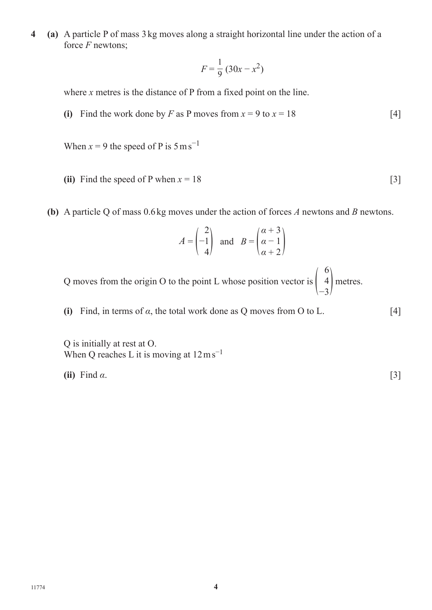**4 (a)** A particle P of mass 3kg moves along a straight horizontal line under the action of a force *F* newtons;

$$
F = \frac{1}{9} (30x - x^2)
$$

where *x* metres is the distance of P from a fixed point on the line.

(i) Find the work done by *F* as P moves from  $x = 9$  to  $x = 18$  [4]

When  $x = 9$  the speed of P is  $5 \text{ m s}^{-1}$ 

- (ii) Find the speed of P when  $x = 18$  [3]
- **(b)** A particle Q of mass 0.6kg moves under the action of forces *A* newtons and *B* newtons.

$$
A = \begin{pmatrix} 2 \\ -1 \\ 4 \end{pmatrix} \text{ and } B = \begin{pmatrix} \alpha + 3 \\ \alpha - 1 \\ \alpha + 2 \end{pmatrix}
$$

Q moves from the origin O to the point L whose position vector is ( −6  $\begin{pmatrix} 4 \\ -3 \end{pmatrix}$  metres.

**(i)** Find, in terms of  $\alpha$ , the total work done as Q moves from O to L. [4]

Q is initially at rest at O. When Q reaches L it is moving at  $12 \text{ m s}^{-1}$ 

**(ii)** Find *α*. [3]

11774 **4**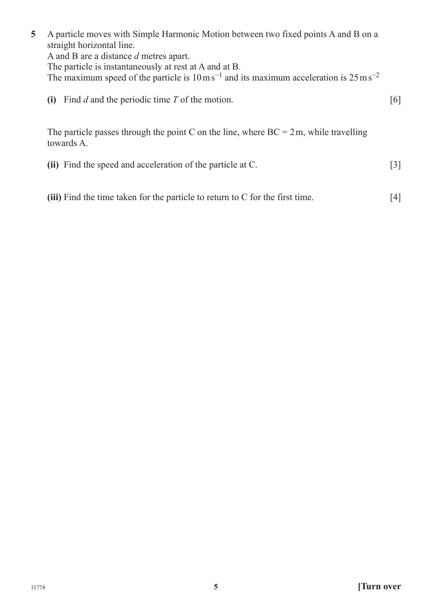**5** A particle moves with Simple Harmonic Motion between two fixed points A and B on a straight horizontal line. A and B are a distance *d* metres apart. The particle is instantaneously at rest at A and at B. The maximum speed of the particle is  $10 \text{ m s}^{-1}$  and its maximum acceleration is 25 ms<sup>-2</sup> **(i)** Find *d* and the periodic time *T* of the motion. [6]

The particle passes through the point C on the line, where  $BC = 2m$ , while travelling towards A.

- **(ii)** Find the speed and acceleration of the particle at C. [3]
- **(iii)** Find the time taken for the particle to return to C for the first time. [4]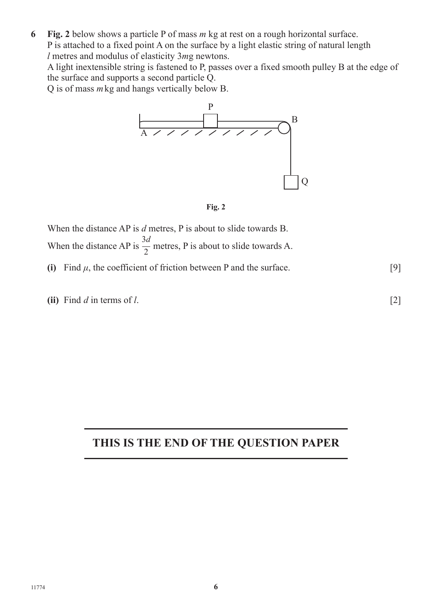**6 Fig. 2** below shows a particle P of mass *m* kg at rest on a rough horizontal surface. P is attached to a fixed point A on the surface by a light elastic string of natural length *l* metres and modulus of elasticity 3*m*g newtons.

A light inextensible string is fastened to P, passes over a fixed smooth pulley B at the edge of the surface and supports a second particle Q.

Q is of mass *m*kg and hangs vertically below B.





When the distance AP is *d* metres, P is about to slide towards B. When the distance AP is 3*d*  $\frac{\pi}{2}$  metres, P is about to slide towards A.

- (i) Find  $\mu$ , the coefficient of friction between P and the surface. [9]
- **(ii)** Find *d* in terms of *l*. [2]

**THIS IS THE END OF THE QUESTION PAPER**